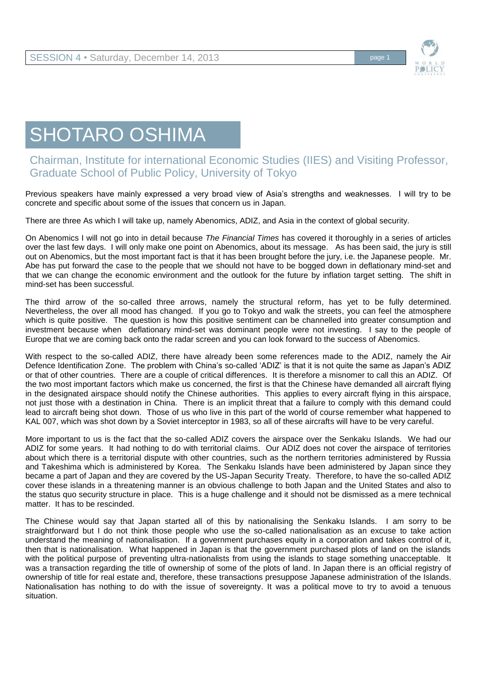

## SHOTARO OSHIMA

## Chairman, Institute for international Economic Studies (IIES) and Visiting Professor, Graduate School of Public Policy, University of Tokyo

Previous speakers have mainly expressed a very broad view of Asia's strengths and weaknesses. I will try to be concrete and specific about some of the issues that concern us in Japan.

There are three As which I will take up, namely Abenomics, ADIZ, and Asia in the context of global security.

On Abenomics I will not go into in detail because *The Financial Times* has covered it thoroughly in a series of articles over the last few days. I will only make one point on Abenomics, about its message. As has been said, the jury is still out on Abenomics, but the most important fact is that it has been brought before the jury, i.e. the Japanese people. Mr. Abe has put forward the case to the people that we should not have to be bogged down in deflationary mind-set and that we can change the economic environment and the outlook for the future by inflation target setting. The shift in mind-set has been successful.

The third arrow of the so-called three arrows, namely the structural reform, has yet to be fully determined. Nevertheless, the over all mood has changed. If you go to Tokyo and walk the streets, you can feel the atmosphere which is quite positive. The question is how this positive sentiment can be channelled into greater consumption and investment because when deflationary mind-set was dominant people were not investing. I say to the people of Europe that we are coming back onto the radar screen and you can look forward to the success of Abenomics.

With respect to the so-called ADIZ, there have already been some references made to the ADIZ, namely the Air Defence Identification Zone. The problem with China's so-called 'ADIZ' is that it is not quite the same as Japan's ADIZ or that of other countries. There are a couple of critical differences. It is therefore a misnomer to call this an ADIZ. Of the two most important factors which make us concerned, the first is that the Chinese have demanded all aircraft flying in the designated airspace should notify the Chinese authorities. This applies to every aircraft flying in this airspace, not just those with a destination in China. There is an implicit threat that a failure to comply with this demand could lead to aircraft being shot down. Those of us who live in this part of the world of course remember what happened to KAL 007, which was shot down by a Soviet interceptor in 1983, so all of these aircrafts will have to be very careful.

More important to us is the fact that the so-called ADIZ covers the airspace over the Senkaku Islands. We had our ADIZ for some years. It had nothing to do with territorial claims. Our ADIZ does not cover the airspace of territories about which there is a territorial dispute with other countries, such as the northern territories administered by Russia and Takeshima which is administered by Korea. The Senkaku Islands have been administered by Japan since they became a part of Japan and they are covered by the US-Japan Security Treaty. Therefore, to have the so-called ADIZ cover these islands in a threatening manner is an obvious challenge to both Japan and the United States and also to the status quo security structure in place. This is a huge challenge and it should not be dismissed as a mere technical matter. It has to be rescinded.

The Chinese would say that Japan started all of this by nationalising the Senkaku Islands. I am sorry to be straightforward but I do not think those people who use the so-called nationalisation as an excuse to take action understand the meaning of nationalisation. If a government purchases equity in a corporation and takes control of it, then that is nationalisation. What happened in Japan is that the government purchased plots of land on the islands with the political purpose of preventing ultra-nationalists from using the islands to stage something unacceptable. It was a transaction regarding the title of ownership of some of the plots of land. In Japan there is an official registry of ownership of title for real estate and, therefore, these transactions presuppose Japanese administration of the Islands. Nationalisation has nothing to do with the issue of sovereignty. It was a political move to try to avoid a tenuous situation.